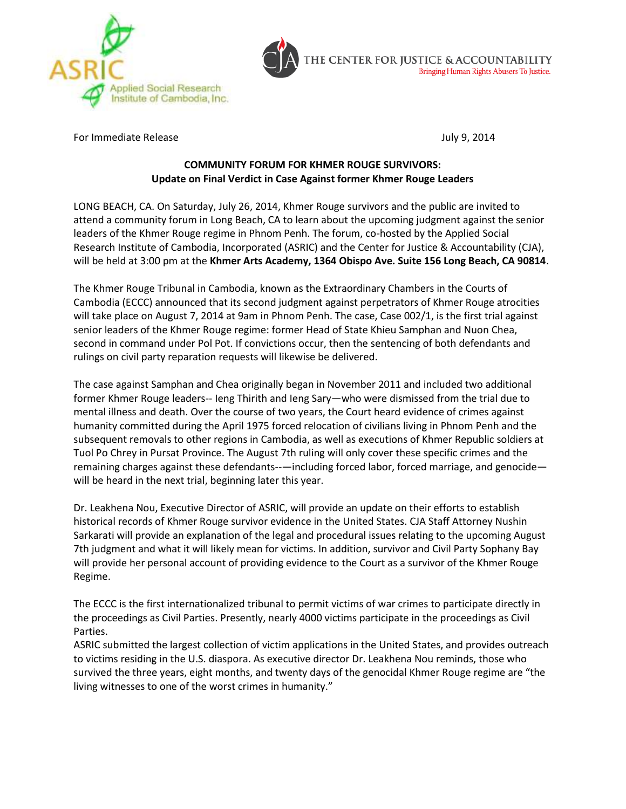



For Immediate Release July 9, 2014

## **COMMUNITY FORUM FOR KHMER ROUGE SURVIVORS: Update on Final Verdict in Case Against former Khmer Rouge Leaders**

LONG BEACH, CA. On Saturday, July 26, 2014, Khmer Rouge survivors and the public are invited to attend a community forum in Long Beach, CA to learn about the upcoming judgment against the senior leaders of the Khmer Rouge regime in Phnom Penh. The forum, co-hosted by the Applied Social Research Institute of Cambodia, Incorporated (ASRIC) and the Center for Justice & Accountability (CJA), will be held at 3:00 pm at the **Khmer Arts Academy, 1364 Obispo Ave. Suite 156 Long Beach, CA 90814**.

The Khmer Rouge Tribunal in Cambodia, known as the Extraordinary Chambers in the Courts of Cambodia (ECCC) announced that its second judgment against perpetrators of Khmer Rouge atrocities will take place on August 7, 2014 at 9am in Phnom Penh. The case, Case 002/1, is the first trial against senior leaders of the Khmer Rouge regime: former Head of State Khieu Samphan and Nuon Chea, second in command under Pol Pot. If convictions occur, then the sentencing of both defendants and rulings on civil party reparation requests will likewise be delivered.

The case against Samphan and Chea originally began in November 2011 and included two additional former Khmer Rouge leaders-- Ieng Thirith and Ieng Sary—who were dismissed from the trial due to mental illness and death. Over the course of two years, the Court heard evidence of crimes against humanity committed during the April 1975 forced relocation of civilians living in Phnom Penh and the subsequent removals to other regions in Cambodia, as well as executions of Khmer Republic soldiers at Tuol Po Chrey in Pursat Province. The August 7th ruling will only cover these specific crimes and the remaining charges against these defendants--—including forced labor, forced marriage, and genocide will be heard in the next trial, beginning later this year.

Dr. Leakhena Nou, Executive Director of ASRIC, will provide an update on their efforts to establish historical records of Khmer Rouge survivor evidence in the United States. CJA Staff Attorney Nushin Sarkarati will provide an explanation of the legal and procedural issues relating to the upcoming August 7th judgment and what it will likely mean for victims. In addition, survivor and Civil Party Sophany Bay will provide her personal account of providing evidence to the Court as a survivor of the Khmer Rouge Regime.

The ECCC is the first internationalized tribunal to permit victims of war crimes to participate directly in the proceedings as Civil Parties. Presently, nearly 4000 victims participate in the proceedings as Civil Parties.

ASRIC submitted the largest collection of victim applications in the United States, and provides outreach to victims residing in the U.S. diaspora. As executive director Dr. Leakhena Nou reminds, those who survived the three years, eight months, and twenty days of the genocidal Khmer Rouge regime are "the living witnesses to one of the worst crimes in humanity."